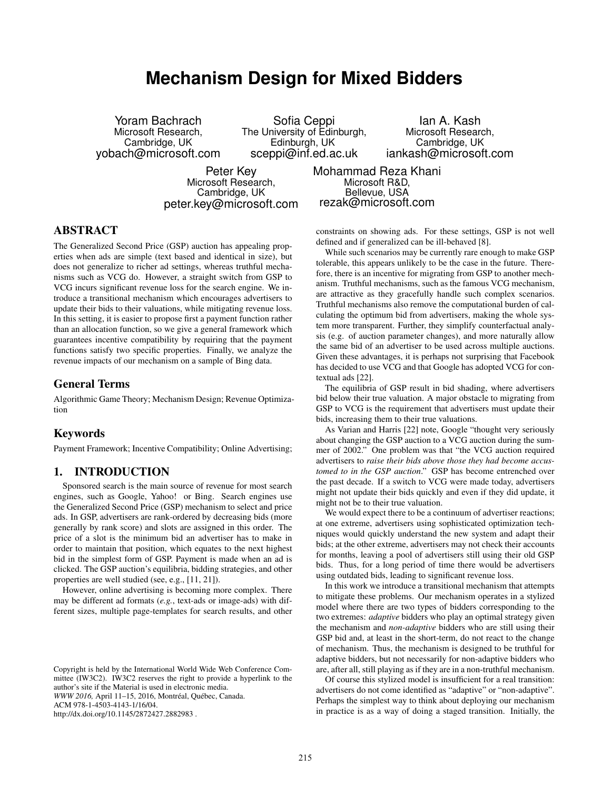# **Mechanism Design for Mixed Bidders**

Yoram Bachrach Microsoft Research, Cambridge, UK yobach@microsoft.com

Sofia Ceppi The University of Edinburgh, Edinburgh, UK sceppi@inf.ed.ac.uk

Ian A. Kash Microsoft Research, Cambridge, UK iankash@microsoft.com

Peter Key Microsoft Research, Cambridge, UK peter.key@microsoft.com Mohammad Reza Khani Microsoft R&D, Bellevue, USA rezak@microsoft.com

## ABSTRACT

The Generalized Second Price (GSP) auction has appealing properties when ads are simple (text based and identical in size), but does not generalize to richer ad settings, whereas truthful mechanisms such as VCG do. However, a straight switch from GSP to VCG incurs significant revenue loss for the search engine. We introduce a transitional mechanism which encourages advertisers to update their bids to their valuations, while mitigating revenue loss. In this setting, it is easier to propose first a payment function rather than an allocation function, so we give a general framework which guarantees incentive compatibility by requiring that the payment functions satisfy two specific properties. Finally, we analyze the revenue impacts of our mechanism on a sample of Bing data.

#### General Terms

Algorithmic Game Theory; Mechanism Design; Revenue Optimization

### Keywords

Payment Framework; Incentive Compatibility; Online Advertising;

## 1. INTRODUCTION

Sponsored search is the main source of revenue for most search engines, such as Google, Yahoo! or Bing. Search engines use the Generalized Second Price (GSP) mechanism to select and price ads. In GSP, advertisers are rank-ordered by decreasing bids (more generally by rank score) and slots are assigned in this order. The price of a slot is the minimum bid an advertiser has to make in order to maintain that position, which equates to the next highest bid in the simplest form of GSP. Payment is made when an ad is clicked. The GSP auction's equilibria, bidding strategies, and other properties are well studied (see, e.g., [11, 21]).

However, online advertising is becoming more complex. There may be different ad formats (*e.g.*, text-ads or image-ads) with different sizes, multiple page-templates for search results, and other

http://dx.doi.org/10.1145/2872427.2882983 .

constraints on showing ads. For these settings, GSP is not well defined and if generalized can be ill-behaved [8].

While such scenarios may be currently rare enough to make GSP tolerable, this appears unlikely to be the case in the future. Therefore, there is an incentive for migrating from GSP to another mechanism. Truthful mechanisms, such as the famous VCG mechanism, are attractive as they gracefully handle such complex scenarios. Truthful mechanisms also remove the computational burden of calculating the optimum bid from advertisers, making the whole system more transparent. Further, they simplify counterfactual analysis (e.g. of auction parameter changes), and more naturally allow the same bid of an advertiser to be used across multiple auctions. Given these advantages, it is perhaps not surprising that Facebook has decided to use VCG and that Google has adopted VCG for contextual ads [22].

The equilibria of GSP result in bid shading, where advertisers bid below their true valuation. A major obstacle to migrating from GSP to VCG is the requirement that advertisers must update their bids, increasing them to their true valuations.

As Varian and Harris [22] note, Google "thought very seriously about changing the GSP auction to a VCG auction during the summer of 2002." One problem was that "the VCG auction required advertisers to *raise their bids above those they had become accustomed to in the GSP auction*." GSP has become entrenched over the past decade. If a switch to VCG were made today, advertisers might not update their bids quickly and even if they did update, it might not be to their true valuation.

We would expect there to be a continuum of advertiser reactions; at one extreme, advertisers using sophisticated optimization techniques would quickly understand the new system and adapt their bids; at the other extreme, advertisers may not check their accounts for months, leaving a pool of advertisers still using their old GSP bids. Thus, for a long period of time there would be advertisers using outdated bids, leading to significant revenue loss.

In this work we introduce a transitional mechanism that attempts to mitigate these problems. Our mechanism operates in a stylized model where there are two types of bidders corresponding to the two extremes: *adaptive* bidders who play an optimal strategy given the mechanism and *non-adaptive* bidders who are still using their GSP bid and, at least in the short-term, do not react to the change of mechanism. Thus, the mechanism is designed to be truthful for adaptive bidders, but not necessarily for non-adaptive bidders who are, after all, still playing as if they are in a non-truthful mechanism.

Of course this stylized model is insufficient for a real transition: advertisers do not come identified as "adaptive" or "non-adaptive". Perhaps the simplest way to think about deploying our mechanism in practice is as a way of doing a staged transition. Initially, the

Copyright is held by the International World Wide Web Conference Committee (IW3C2). IW3C2 reserves the right to provide a hyperlink to the author's site if the Material is used in electronic media. *WWW 2016,* April 11–15, 2016, Montréal, Québec, Canada. ACM 978-1-4503-4143-1/16/04.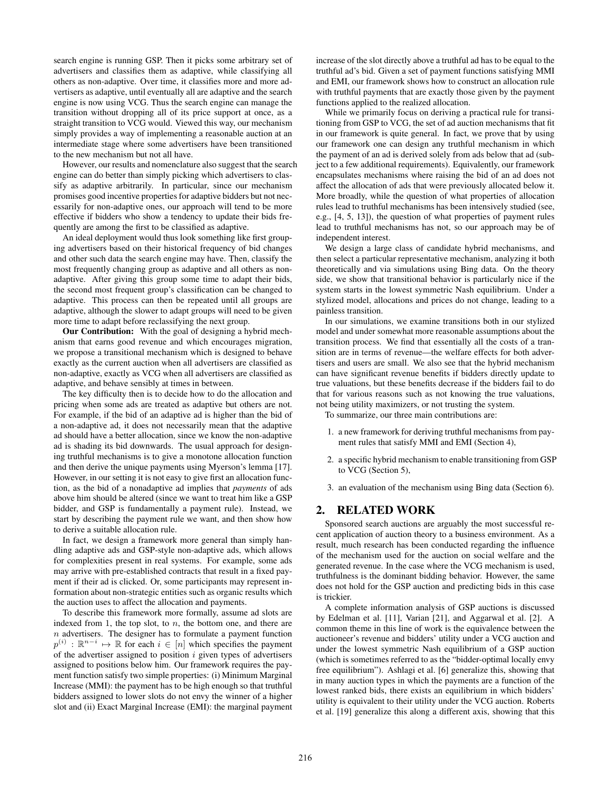search engine is running GSP. Then it picks some arbitrary set of advertisers and classifies them as adaptive, while classifying all others as non-adaptive. Over time, it classifies more and more advertisers as adaptive, until eventually all are adaptive and the search engine is now using VCG. Thus the search engine can manage the transition without dropping all of its price support at once, as a straight transition to VCG would. Viewed this way, our mechanism simply provides a way of implementing a reasonable auction at an intermediate stage where some advertisers have been transitioned to the new mechanism but not all have.

However, our results and nomenclature also suggest that the search engine can do better than simply picking which advertisers to classify as adaptive arbitrarily. In particular, since our mechanism promises good incentive properties for adaptive bidders but not necessarily for non-adaptive ones, our approach will tend to be more effective if bidders who show a tendency to update their bids frequently are among the first to be classified as adaptive.

An ideal deployment would thus look something like first grouping advertisers based on their historical frequency of bid changes and other such data the search engine may have. Then, classify the most frequently changing group as adaptive and all others as nonadaptive. After giving this group some time to adapt their bids, the second most frequent group's classification can be changed to adaptive. This process can then be repeated until all groups are adaptive, although the slower to adapt groups will need to be given more time to adapt before reclassifying the next group.

Our Contribution: With the goal of designing a hybrid mechanism that earns good revenue and which encourages migration, we propose a transitional mechanism which is designed to behave exactly as the current auction when all advertisers are classified as non-adaptive, exactly as VCG when all advertisers are classified as adaptive, and behave sensibly at times in between.

The key difficulty then is to decide how to do the allocation and pricing when some ads are treated as adaptive but others are not. For example, if the bid of an adaptive ad is higher than the bid of a non-adaptive ad, it does not necessarily mean that the adaptive ad should have a better allocation, since we know the non-adaptive ad is shading its bid downwards. The usual approach for designing truthful mechanisms is to give a monotone allocation function and then derive the unique payments using Myerson's lemma [17]. However, in our setting it is not easy to give first an allocation function, as the bid of a nonadaptive ad implies that *payments* of ads above him should be altered (since we want to treat him like a GSP bidder, and GSP is fundamentally a payment rule). Instead, we start by describing the payment rule we want, and then show how to derive a suitable allocation rule.

In fact, we design a framework more general than simply handling adaptive ads and GSP-style non-adaptive ads, which allows for complexities present in real systems. For example, some ads may arrive with pre-established contracts that result in a fixed payment if their ad is clicked. Or, some participants may represent information about non-strategic entities such as organic results which the auction uses to affect the allocation and payments.

To describe this framework more formally, assume ad slots are indexed from 1, the top slot, to  $n$ , the bottom one, and there are  $n$  advertisers. The designer has to formulate a payment function  $p^{(i)} : \mathbb{R}^{n-i} \mapsto \mathbb{R}$  for each  $i \in [n]$  which specifies the payment of the advertiser assigned to position  $i$  given types of advertisers assigned to positions below him. Our framework requires the payment function satisfy two simple properties: (i) Minimum Marginal Increase (MMI): the payment has to be high enough so that truthful bidders assigned to lower slots do not envy the winner of a higher slot and (ii) Exact Marginal Increase (EMI): the marginal payment

increase of the slot directly above a truthful ad has to be equal to the truthful ad's bid. Given a set of payment functions satisfying MMI and EMI, our framework shows how to construct an allocation rule with truthful payments that are exactly those given by the payment functions applied to the realized allocation.

While we primarily focus on deriving a practical rule for transitioning from GSP to VCG, the set of ad auction mechanisms that fit in our framework is quite general. In fact, we prove that by using our framework one can design any truthful mechanism in which the payment of an ad is derived solely from ads below that ad (subject to a few additional requirements). Equivalently, our framework encapsulates mechanisms where raising the bid of an ad does not affect the allocation of ads that were previously allocated below it. More broadly, while the question of what properties of allocation rules lead to truthful mechanisms has been intensively studied (see, e.g., [4, 5, 13]), the question of what properties of payment rules lead to truthful mechanisms has not, so our approach may be of independent interest.

We design a large class of candidate hybrid mechanisms, and then select a particular representative mechanism, analyzing it both theoretically and via simulations using Bing data. On the theory side, we show that transitional behavior is particularly nice if the system starts in the lowest symmetric Nash equilibrium. Under a stylized model, allocations and prices do not change, leading to a painless transition.

In our simulations, we examine transitions both in our stylized model and under somewhat more reasonable assumptions about the transition process. We find that essentially all the costs of a transition are in terms of revenue—the welfare effects for both advertisers and users are small. We also see that the hybrid mechanism can have significant revenue benefits if bidders directly update to true valuations, but these benefits decrease if the bidders fail to do that for various reasons such as not knowing the true valuations, not being utility maximizers, or not trusting the system.

To summarize, our three main contributions are:

- 1. a new framework for deriving truthful mechanisms from payment rules that satisfy MMI and EMI (Section 4),
- 2. a specific hybrid mechanism to enable transitioning from GSP to VCG (Section 5),
- 3. an evaluation of the mechanism using Bing data (Section 6).

#### 2. RELATED WORK

Sponsored search auctions are arguably the most successful recent application of auction theory to a business environment. As a result, much research has been conducted regarding the influence of the mechanism used for the auction on social welfare and the generated revenue. In the case where the VCG mechanism is used, truthfulness is the dominant bidding behavior. However, the same does not hold for the GSP auction and predicting bids in this case is trickier.

A complete information analysis of GSP auctions is discussed by Edelman et al. [11], Varian [21], and Aggarwal et al. [2]. A common theme in this line of work is the equivalence between the auctioneer's revenue and bidders' utility under a VCG auction and under the lowest symmetric Nash equilibrium of a GSP auction (which is sometimes referred to as the "bidder-optimal locally envy free equilibrium"). Ashlagi et al. [6] generalize this, showing that in many auction types in which the payments are a function of the lowest ranked bids, there exists an equilibrium in which bidders' utility is equivalent to their utility under the VCG auction. Roberts et al. [19] generalize this along a different axis, showing that this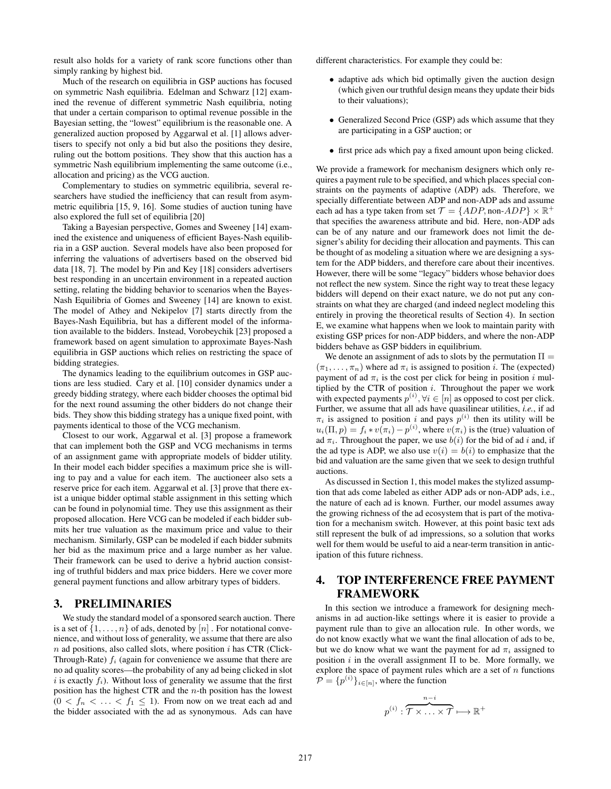result also holds for a variety of rank score functions other than simply ranking by highest bid.

Much of the research on equilibria in GSP auctions has focused on symmetric Nash equilibria. Edelman and Schwarz [12] examined the revenue of different symmetric Nash equilibria, noting that under a certain comparison to optimal revenue possible in the Bayesian setting, the "lowest" equilibrium is the reasonable one. A generalized auction proposed by Aggarwal et al. [1] allows advertisers to specify not only a bid but also the positions they desire, ruling out the bottom positions. They show that this auction has a symmetric Nash equilibrium implementing the same outcome (i.e., allocation and pricing) as the VCG auction.

Complementary to studies on symmetric equilibria, several researchers have studied the inefficiency that can result from asymmetric equilibria [15, 9, 16]. Some studies of auction tuning have also explored the full set of equilibria [20]

Taking a Bayesian perspective, Gomes and Sweeney [14] examined the existence and uniqueness of efficient Bayes-Nash equilibria in a GSP auction. Several models have also been proposed for inferring the valuations of advertisers based on the observed bid data [18, 7]. The model by Pin and Key [18] considers advertisers best responding in an uncertain environment in a repeated auction setting, relating the bidding behavior to scenarios when the Bayes-Nash Equilibria of Gomes and Sweeney [14] are known to exist. The model of Athey and Nekipelov [7] starts directly from the Bayes-Nash Equilibria, but has a different model of the information available to the bidders. Instead, Vorobeychik [23] proposed a framework based on agent simulation to approximate Bayes-Nash equilibria in GSP auctions which relies on restricting the space of bidding strategies.

The dynamics leading to the equilibrium outcomes in GSP auctions are less studied. Cary et al. [10] consider dynamics under a greedy bidding strategy, where each bidder chooses the optimal bid for the next round assuming the other bidders do not change their bids. They show this bidding strategy has a unique fixed point, with payments identical to those of the VCG mechanism.

Closest to our work, Aggarwal et al. [3] propose a framework that can implement both the GSP and VCG mechanisms in terms of an assignment game with appropriate models of bidder utility. In their model each bidder specifies a maximum price she is willing to pay and a value for each item. The auctioneer also sets a reserve price for each item. Aggarwal et al. [3] prove that there exist a unique bidder optimal stable assignment in this setting which can be found in polynomial time. They use this assignment as their proposed allocation. Here VCG can be modeled if each bidder submits her true valuation as the maximum price and value to their mechanism. Similarly, GSP can be modeled if each bidder submits her bid as the maximum price and a large number as her value. Their framework can be used to derive a hybrid auction consisting of truthful bidders and max price bidders. Here we cover more general payment functions and allow arbitrary types of bidders.

#### 3. PRELIMINARIES

We study the standard model of a sponsored search auction. There is a set of  $\{1, \ldots, n\}$  of ads, denoted by  $[n]$ . For notational convenience, and without loss of generality, we assume that there are also  $n$  ad positions, also called slots, where position  $i$  has CTR (Click-Through-Rate)  $f_i$  (again for convenience we assume that there are no ad quality scores—the probability of any ad being clicked in slot i is exactly  $f_i$ ). Without loss of generality we assume that the first position has the highest CTR and the  $n$ -th position has the lowest  $(0 \lt f_n \lt \ldots \lt f_1 \leq 1)$ . From now on we treat each ad and the bidder associated with the ad as synonymous. Ads can have

different characteristics. For example they could be:

- adaptive ads which bid optimally given the auction design (which given our truthful design means they update their bids to their valuations);
- Generalized Second Price (GSP) ads which assume that they are participating in a GSP auction; or
- first price ads which pay a fixed amount upon being clicked.

We provide a framework for mechanism designers which only requires a payment rule to be specified, and which places special constraints on the payments of adaptive (ADP) ads. Therefore, we specially differentiate between ADP and non-ADP ads and assume each ad has a type taken from set  $\mathcal{T} = \{ADP, \text{non-}ADP\} \times \mathbb{R}^+$ that specifies the awareness attribute and bid. Here, non-ADP ads can be of any nature and our framework does not limit the designer's ability for deciding their allocation and payments. This can be thought of as modeling a situation where we are designing a system for the ADP bidders, and therefore care about their incentives. However, there will be some "legacy" bidders whose behavior does not reflect the new system. Since the right way to treat these legacy bidders will depend on their exact nature, we do not put any constraints on what they are charged (and indeed neglect modeling this entirely in proving the theoretical results of Section 4). In section E, we examine what happens when we look to maintain parity with existing GSP prices for non-ADP bidders, and where the non-ADP bidders behave as GSP bidders in equilibrium.

We denote an assignment of ads to slots by the permutation  $\Pi =$  $(\pi_1, \ldots, \pi_n)$  where ad  $\pi_i$  is assigned to position *i*. The (expected) payment of ad  $\pi_i$  is the cost per click for being in position i multiplied by the CTR of position  $i$ . Throughout the paper we work with expected payments  $p^{(i)}$ ,  $\forall i \in [n]$  as opposed to cost per click. Further, we assume that all ads have quasilinear utilities, *i.e.*, if ad  $\pi_i$  is assigned to position i and pays  $p^{(i)}$  then its utility will be  $u_i(\Pi, p) = f_i * v(\pi_i) - p^{(i)}$ , where  $v(\pi_i)$  is the (true) valuation of ad  $\pi_i$ . Throughout the paper, we use  $b(i)$  for the bid of ad i and, if the ad type is ADP, we also use  $v(i) = b(i)$  to emphasize that the bid and valuation are the same given that we seek to design truthful auctions.

As discussed in Section 1, this model makes the stylized assumption that ads come labeled as either ADP ads or non-ADP ads, i.e., the nature of each ad is known. Further, our model assumes away the growing richness of the ad ecosystem that is part of the motivation for a mechanism switch. However, at this point basic text ads still represent the bulk of ad impressions, so a solution that works well for them would be useful to aid a near-term transition in anticipation of this future richness.

## 4. TOP INTERFERENCE FREE PAYMENT FRAMEWORK

In this section we introduce a framework for designing mechanisms in ad auction-like settings where it is easier to provide a payment rule than to give an allocation rule. In other words, we do not know exactly what we want the final allocation of ads to be, but we do know what we want the payment for ad  $\pi_i$  assigned to position i in the overall assignment  $\Pi$  to be. More formally, we explore the space of payment rules which are a set of  $n$  functions  $\mathcal{P} = \{p^{(i)}\}_{i \in [n]},$  where the function

$$
p^{(i)} : \overbrace{\mathcal{T} \times \ldots \times \mathcal{T}}^{n-i} \longmapsto \mathbb{R}^+
$$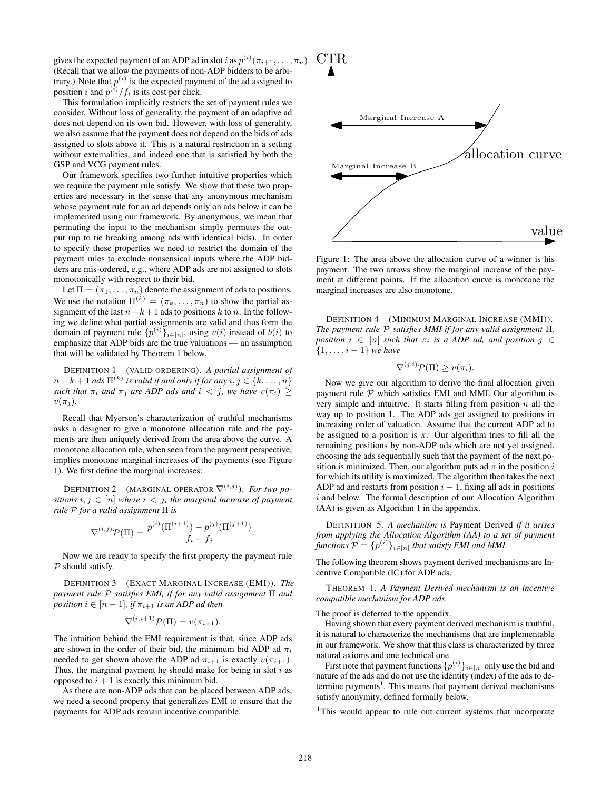gives the expected payment of an ADP ad in slot i as  $p^{(i)}(\pi_{i+1}, \ldots, \pi_n)$ . (Recall that we allow the payments of non-ADP bidders to be arbitrary.) Note that  $p^{(i)}$  is the expected payment of the ad assigned to position i and  $p^{(i)}/f_i$  is its cost per click.

This formulation implicitly restricts the set of payment rules we consider. Without loss of generality, the payment of an adaptive ad does not depend on its own bid. However, with loss of generality, we also assume that the payment does not depend on the bids of ads assigned to slots above it. This is a natural restriction in a setting without externalities, and indeed one that is satisfied by both the GSP and VCG payment rules.

Our framework specifies two further intuitive properties which we require the payment rule satisfy. We show that these two properties are necessary in the sense that any anonymous mechanism whose payment rule for an ad depends only on ads below it can be implemented using our framework. By anonymous, we mean that permuting the input to the mechanism simply permutes the output (up to tie breaking among ads with identical bids). In order to specify these properties we need to restrict the domain of the payment rules to exclude nonsensical inputs where the ADP bidders are mis-ordered, e.g., where ADP ads are not assigned to slots monotonically with respect to their bid.

Let  $\Pi = (\pi_1, \dots, \pi_n)$  denote the assignment of ads to positions. We use the notation  $\Pi^{(k)} = (\pi_k, \dots, \pi_n)$  to show the partial assignment of the last  $n-k+1$  ads to positions k to n. In the following we define what partial assignments are valid and thus form the domain of payment rule  $\{p^{(i)}\}_{i\in[n]}$ , using  $v(i)$  instead of  $b(i)$  to emphasize that ADP bids are the true valuations — an assumption that will be validated by Theorem 1 below.

DEFINITION 1 (VALID ORDERING). *A partial assignment of*  $n - k + 1$  ads  $\Pi^{(k)}$  is valid if and only if for any  $i, j \in \{k, \ldots, n\}$ *such that*  $\pi_i$  *and*  $\pi_j$  *are ADP ads and*  $i < j$ *, we have*  $v(\pi_i) \geq$  $v(\pi_i)$ .

Recall that Myerson's characterization of truthful mechanisms asks a designer to give a monotone allocation rule and the payments are then uniquely derived from the area above the curve. A monotone allocation rule, when seen from the payment perspective, implies monotone marginal increases of the payments (see Figure 1). We first define the marginal increases:

DEFINITION 2 (MARGINAL OPERATOR  $\nabla^{(i,j)}$ ). *For two positions*  $i, j \in [n]$  *where*  $i < j$ *, the marginal increase of payment rule* P *for a valid assignment* Π *is*

$$
\nabla^{(i,j)} \mathcal{P}(\Pi) = \frac{p^{(i)}(\Pi^{(i+1)}) - p^{(j)}(\Pi^{(j+1)})}{f_i - f_j}
$$

.

Now we are ready to specify the first property the payment rule  $P$  should satisfy.

DEFINITION 3 (EXACT MARGINAL INCREASE (EMI)). *The payment rule* P *satisfies EMI, if for any valid assignment* Π *and position*  $i \in [n-1]$ *, if*  $\pi_{i+1}$  *is an ADP ad then* 

$$
\nabla^{(i,i+1)}\mathcal{P}(\Pi) = v(\pi_{i+1}).
$$

The intuition behind the EMI requirement is that, since ADP ads are shown in the order of their bid, the minimum bid ADP ad  $\pi_i$ needed to get shown above the ADP ad  $\pi_{i+1}$  is exactly  $v(\pi_{i+1})$ . Thus, the marginal payment he should make for being in slot  $i$  as opposed to  $i + 1$  is exactly this minimum bid.

As there are non-ADP ads that can be placed between ADP ads, we need a second property that generalizes EMI to ensure that the payments for ADP ads remain incentive compatible.



Figure 1: The area above the allocation curve of a winner is his payment. The two arrows show the marginal increase of the payment at different points. If the allocation curve is monotone the marginal increases are also monotone.

DEFINITION 4 (MINIMUM MARGINAL INCREASE (MMI)). *The payment rule* P *satisfies MMI if for any valid assignment* Π*, position*  $i \in [n]$  *such that*  $\pi_i$  *is a ADP ad, and position*  $j \in$ {1, . . . , i − 1} *we have*

$$
\nabla^{(j,i)}\mathcal{P}(\Pi) \ge v(\pi_i).
$$

Now we give our algorithm to derive the final allocation given payment rule  $P$  which satisfies EMI and MMI. Our algorithm is very simple and intuitive. It starts filling from position  $n$  all the way up to position 1. The ADP ads get assigned to positions in increasing order of valuation. Assume that the current ADP ad to be assigned to a position is  $\pi$ . Our algorithm tries to fill all the remaining positions by non-ADP ads which are not yet assigned, choosing the ads sequentially such that the payment of the next position is minimized. Then, our algorithm puts ad  $\pi$  in the position i for which its utility is maximized. The algorithm then takes the next ADP ad and restarts from position  $i - 1$ , fixing all ads in positions  $i$  and below. The formal description of our Allocation Algorithm (AA) is given as Algorithm 1 in the appendix.

DEFINITION 5. *A mechanism is* Payment Derived *if it arises from applying the Allocation Algorithm (AA) to a set of payment functions*  $\mathcal{P} = \{p^{(i)}\}_{i \in [n]}$  *that satisfy EMI and MMI*.

The following theorem shows payment derived mechanisms are Incentive Compatible (IC) for ADP ads.

THEOREM 1. *A Payment Derived mechanism is an incentive compatible mechanism for ADP ads.*

The proof is deferred to the appendix.

Having shown that every payment derived mechanism is truthful, it is natural to characterize the mechanisms that are implementable in our framework. We show that this class is characterized by three natural axioms and one technical one.

First note that payment functions  $\{p^{(i)}\}_{i\in[n]}$  only use the bid and nature of the ads and do not use the identity (index) of the ads to determine payments<sup>1</sup>. This means that payment derived mechanisms satisfy anonymity, defined formally below.

<sup>1</sup>This would appear to rule out current systems that incorporate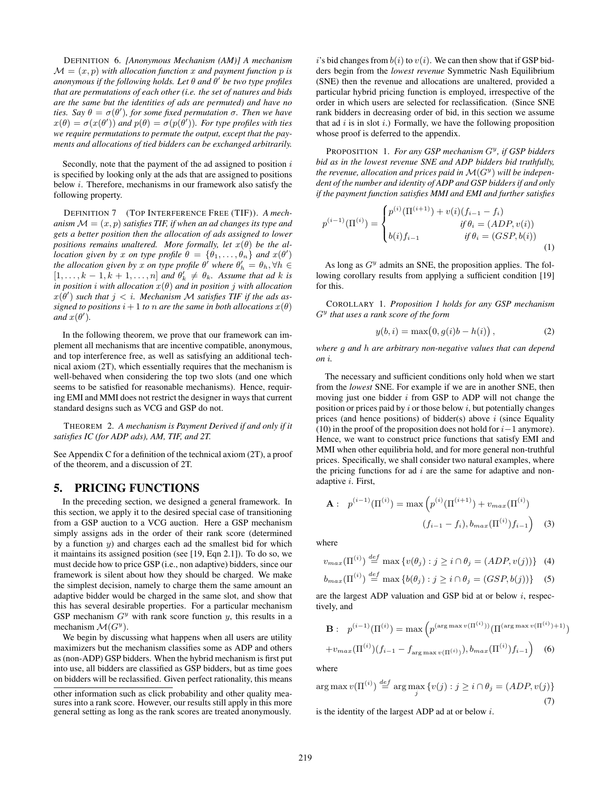DEFINITION 6. *[Anonymous Mechanism (AM)] A mechanism*  $\mathcal{M} = (x, p)$  with allocation function x and payment function p is *anonymous if the following holds. Let* θ *and* θ 0 *be two type profiles that are permutations of each other (i.e. the set of natures and bids are the same but the identities of ads are permuted) and have no ties.* Say  $\theta = \sigma(\theta')$ , for some fixed permutation  $\sigma$ . Then we have  $x(\theta) = \sigma(x(\theta'))$  and  $p(\theta) = \sigma(p(\theta'))$ *. For type profiles with ties we require permutations to permute the output, except that the payments and allocations of tied bidders can be exchanged arbitrarily.*

Secondly, note that the payment of the ad assigned to position  $i$ is specified by looking only at the ads that are assigned to positions below i. Therefore, mechanisms in our framework also satisfy the following property.

DEFINITION 7 (TOP INTERFERENCE FREE (TIF)). *A mechanism*  $\mathcal{M} = (x, p)$  *satisfies TIF, if when an ad changes its type and gets a better position then the allocation of ads assigned to lower positions remains unaltered. More formally, let*  $x(\theta)$  *be the allocation given by* x *on type profile*  $\theta = {\theta_1, ..., \theta_n}$  *and*  $x(\theta')$ *the allocation given by* x *on type profile*  $\theta'$  *where*  $\theta'_h = \theta_h, \forall h \in$  $[1, \ldots, k-1, k+1, \ldots, n]$  and  $\theta'_k \neq \theta_k$ . Assume that ad k is *in position i with allocation*  $x(\theta)$  *and in position j with allocation*  $x(\theta')$  such that  $j < i$ . Mechanism M satisfies TIF if the ads as*signed to positions*  $i + 1$  *to n are the same in both allocations*  $x(\theta)$  $and x(\theta')$ .

In the following theorem, we prove that our framework can implement all mechanisms that are incentive compatible, anonymous, and top interference free, as well as satisfying an additional technical axiom (2T), which essentially requires that the mechanism is well-behaved when considering the top two slots (and one which seems to be satisfied for reasonable mechanisms). Hence, requiring EMI and MMI does not restrict the designer in ways that current standard designs such as VCG and GSP do not.

THEOREM 2. *A mechanism is Payment Derived if and only if it satisfies IC (for ADP ads), AM, TIF, and 2T.*

See Appendix C for a definition of the technical axiom (2T), a proof of the theorem, and a discussion of 2T.

## 5. PRICING FUNCTIONS

In the preceding section, we designed a general framework. In this section, we apply it to the desired special case of transitioning from a GSP auction to a VCG auction. Here a GSP mechanism simply assigns ads in the order of their rank score (determined by a function  $y$ ) and charges each ad the smallest bid for which it maintains its assigned position (see [19, Eqn 2.1]). To do so, we must decide how to price GSP (i.e., non adaptive) bidders, since our framework is silent about how they should be charged. We make the simplest decision, namely to charge them the same amount an adaptive bidder would be charged in the same slot, and show that this has several desirable properties. For a particular mechanism GSP mechanism  $G<sup>y</sup>$  with rank score function y, this results in a mechanism  $\mathcal{M}(G^y)$ .

We begin by discussing what happens when all users are utility maximizers but the mechanism classifies some as ADP and others as (non-ADP) GSP bidders. When the hybrid mechanism is first put into use, all bidders are classified as GSP bidders, but as time goes on bidders will be reclassified. Given perfect rationality, this means

i's bid changes from  $b(i)$  to  $v(i)$ . We can then show that if GSP bidders begin from the *lowest revenue* Symmetric Nash Equilibrium (SNE) then the revenue and allocations are unaltered, provided a particular hybrid pricing function is employed, irrespective of the order in which users are selected for reclassification. (Since SNE rank bidders in decreasing order of bid, in this section we assume that ad  $i$  is in slot  $i$ .) Formally, we have the following proposition whose proof is deferred to the appendix.

PROPOSITION 1. For any GSP mechanism  $G<sup>y</sup>$ , if GSP bidders *bid as in the lowest revenue SNE and ADP bidders bid truthfully,* the revenue, allocation and prices paid in  $\mathcal{M}(G^y)$  will be indepen*dent of the number and identity of ADP and GSP bidders if and only if the payment function satisfies MMI and EMI and further satisfies*

$$
p^{(i-1)}(\Pi^{(i)}) = \begin{cases} p^{(i)}(\Pi^{(i+1)}) + v(i)(f_{i-1} - f_i) & \text{if } \theta_i = (ADP, v(i)) \\ b(i)f_{i-1} & \text{if } \theta_i = (GSP, b(i)) \\ 1 & \text{if } \theta_i = (GSP, b(i)) \end{cases} \tag{1}
$$

As long as  $G<sup>y</sup>$  admits an SNE, the proposition applies. The following corollary results from applying a sufficient condition [19] for this.

COROLLARY 1. *Proposition 1 holds for any GSP mechanism* G y *that uses a rank score of the form*

$$
y(b, i) = max(0, g(i)b - h(i)),
$$
 (2)

*where* g *and* h *are arbitrary non-negative values that can depend on* i*.*

The necessary and sufficient conditions only hold when we start from the *lowest* SNE. For example if we are in another SNE, then moving just one bidder  $i$  from GSP to ADP will not change the position or prices paid by  $i$  or those below  $i$ , but potentially changes prices (and hence positions) of bidder(s) above  $i$  (since Equality (10) in the proof of the proposition does not hold for  $i-1$  anymore). Hence, we want to construct price functions that satisfy EMI and MMI when other equilibria hold, and for more general non-truthful prices. Specifically, we shall consider two natural examples, where the pricing functions for ad  $i$  are the same for adaptive and nonadaptive i. First,

$$
\mathbf{A}: \quad p^{(i-1)}(\Pi^{(i)}) = \max\left(p^{(i)}(\Pi^{(i+1)}) + v_{max}(\Pi^{(i)})\right)
$$

$$
(f_{i-1} - f_i), b_{max}(\Pi^{(i)})f_{i-1}\right) \quad (3)
$$

where

$$
v_{max}(\Pi^{(i)}) \stackrel{def}{=} \max \{v(\theta_j) : j \ge i \cap \theta_j = (ADP, v(j))\} \tag{4}
$$

$$
b_{max}(\Pi^{(i)}) \stackrel{def}{=} \max \{b(\theta_j) : j \ge i \cap \theta_j = (GSP, b(j))\} \quad (5)
$$

are the largest ADP valuation and GSP bid at or below  $i$ , respectively, and

$$
\mathbf{B}: \ \ p^{(i-1)}(\Pi^{(i)}) = \max\left(p^{(\arg \max v(\Pi^{(i)}))}(\Pi^{(\arg \max v(\Pi^{(i)})+1)}) + v_{max}(\Pi^{(i)})(f_{i-1} - f_{\arg \max v(\Pi^{(i)})}), b_{max}(\Pi^{(i)})f_{i-1}\right) \tag{6}
$$

where

$$
\arg \max v(\Pi^{(i)}) \stackrel{def}{=} \arg \max_{j} \{v(j) : j \ge i \cap \theta_j = (ADP, v(j))\}
$$
\n(7)

is the identity of the largest ADP ad at or below  $i$ .

other information such as click probability and other quality measures into a rank score. However, our results still apply in this more general setting as long as the rank scores are treated anonymously.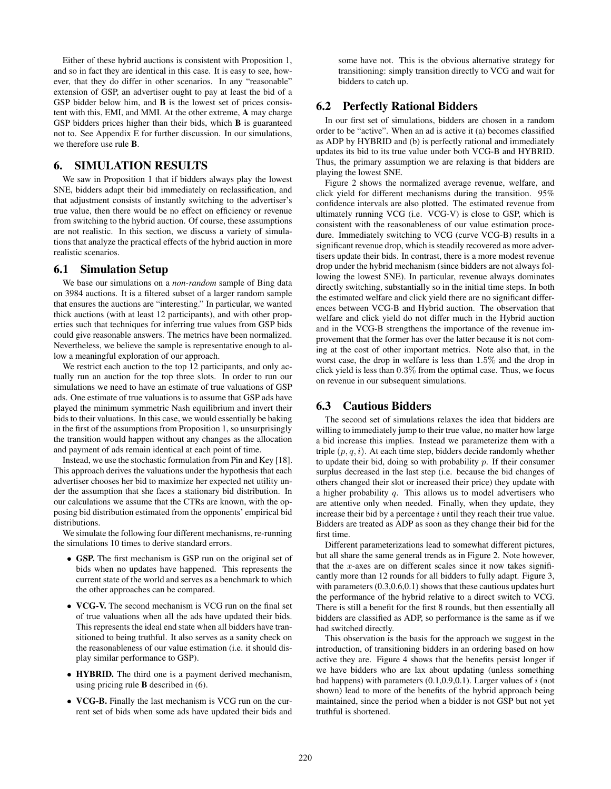Either of these hybrid auctions is consistent with Proposition 1, and so in fact they are identical in this case. It is easy to see, however, that they do differ in other scenarios. In any "reasonable" extension of GSP, an advertiser ought to pay at least the bid of a GSP bidder below him, and **B** is the lowest set of prices consistent with this, EMI, and MMI. At the other extreme, A may charge GSP bidders prices higher than their bids, which B is guaranteed not to. See Appendix E for further discussion. In our simulations, we therefore use rule B.

#### 6. SIMULATION RESULTS

We saw in Proposition 1 that if bidders always play the lowest SNE, bidders adapt their bid immediately on reclassification, and that adjustment consists of instantly switching to the advertiser's true value, then there would be no effect on efficiency or revenue from switching to the hybrid auction. Of course, these assumptions are not realistic. In this section, we discuss a variety of simulations that analyze the practical effects of the hybrid auction in more realistic scenarios.

#### 6.1 Simulation Setup

We base our simulations on a *non-random* sample of Bing data on 3984 auctions. It is a filtered subset of a larger random sample that ensures the auctions are "interesting." In particular, we wanted thick auctions (with at least 12 participants), and with other properties such that techniques for inferring true values from GSP bids could give reasonable answers. The metrics have been normalized. Nevertheless, we believe the sample is representative enough to allow a meaningful exploration of our approach.

We restrict each auction to the top 12 participants, and only actually run an auction for the top three slots. In order to run our simulations we need to have an estimate of true valuations of GSP ads. One estimate of true valuations is to assume that GSP ads have played the minimum symmetric Nash equilibrium and invert their bids to their valuations. In this case, we would essentially be baking in the first of the assumptions from Proposition 1, so unsurprisingly the transition would happen without any changes as the allocation and payment of ads remain identical at each point of time.

Instead, we use the stochastic formulation from Pin and Key [18]. This approach derives the valuations under the hypothesis that each advertiser chooses her bid to maximize her expected net utility under the assumption that she faces a stationary bid distribution. In our calculations we assume that the CTRs are known, with the opposing bid distribution estimated from the opponents' empirical bid distributions.

We simulate the following four different mechanisms, re-running the simulations 10 times to derive standard errors.

- GSP. The first mechanism is GSP run on the original set of bids when no updates have happened. This represents the current state of the world and serves as a benchmark to which the other approaches can be compared.
- VCG-V. The second mechanism is VCG run on the final set of true valuations when all the ads have updated their bids. This represents the ideal end state when all bidders have transitioned to being truthful. It also serves as a sanity check on the reasonableness of our value estimation (i.e. it should display similar performance to GSP).
- HYBRID. The third one is a payment derived mechanism, using pricing rule B described in (6).
- VCG-B. Finally the last mechanism is VCG run on the current set of bids when some ads have updated their bids and

some have not. This is the obvious alternative strategy for transitioning: simply transition directly to VCG and wait for bidders to catch up.

# 6.2 Perfectly Rational Bidders

In our first set of simulations, bidders are chosen in a random order to be "active". When an ad is active it (a) becomes classified as ADP by HYBRID and (b) is perfectly rational and immediately updates its bid to its true value under both VCG-B and HYBRID. Thus, the primary assumption we are relaxing is that bidders are playing the lowest SNE.

Figure 2 shows the normalized average revenue, welfare, and click yield for different mechanisms during the transition. 95% confidence intervals are also plotted. The estimated revenue from ultimately running VCG (i.e. VCG-V) is close to GSP, which is consistent with the reasonableness of our value estimation procedure. Immediately switching to VCG (curve VCG-B) results in a significant revenue drop, which is steadily recovered as more advertisers update their bids. In contrast, there is a more modest revenue drop under the hybrid mechanism (since bidders are not always following the lowest SNE). In particular, revenue always dominates directly switching, substantially so in the initial time steps. In both the estimated welfare and click yield there are no significant differences between VCG-B and Hybrid auction. The observation that welfare and click yield do not differ much in the Hybrid auction and in the VCG-B strengthens the importance of the revenue improvement that the former has over the latter because it is not coming at the cost of other important metrics. Note also that, in the worst case, the drop in welfare is less than 1.5% and the drop in click yield is less than 0.3% from the optimal case. Thus, we focus on revenue in our subsequent simulations.

## 6.3 Cautious Bidders

The second set of simulations relaxes the idea that bidders are willing to immediately jump to their true value, no matter how large a bid increase this implies. Instead we parameterize them with a triple  $(p, q, i)$ . At each time step, bidders decide randomly whether to update their bid, doing so with probability  $p$ . If their consumer surplus decreased in the last step (i.e. because the bid changes of others changed their slot or increased their price) they update with a higher probability  $q$ . This allows us to model advertisers who are attentive only when needed. Finally, when they update, they increase their bid by a percentage  $i$  until they reach their true value. Bidders are treated as ADP as soon as they change their bid for the first time.

Different parameterizations lead to somewhat different pictures, but all share the same general trends as in Figure 2. Note however, that the x-axes are on different scales since it now takes significantly more than 12 rounds for all bidders to fully adapt. Figure 3, with parameters  $(0.3, 0.6, 0.1)$  shows that these cautious updates hurt the performance of the hybrid relative to a direct switch to VCG. There is still a benefit for the first 8 rounds, but then essentially all bidders are classified as ADP, so performance is the same as if we had switched directly.

This observation is the basis for the approach we suggest in the introduction, of transitioning bidders in an ordering based on how active they are. Figure 4 shows that the benefits persist longer if we have bidders who are lax about updating (unless something bad happens) with parameters  $(0.1, 0.9, 0.1)$ . Larger values of i (not shown) lead to more of the benefits of the hybrid approach being maintained, since the period when a bidder is not GSP but not yet truthful is shortened.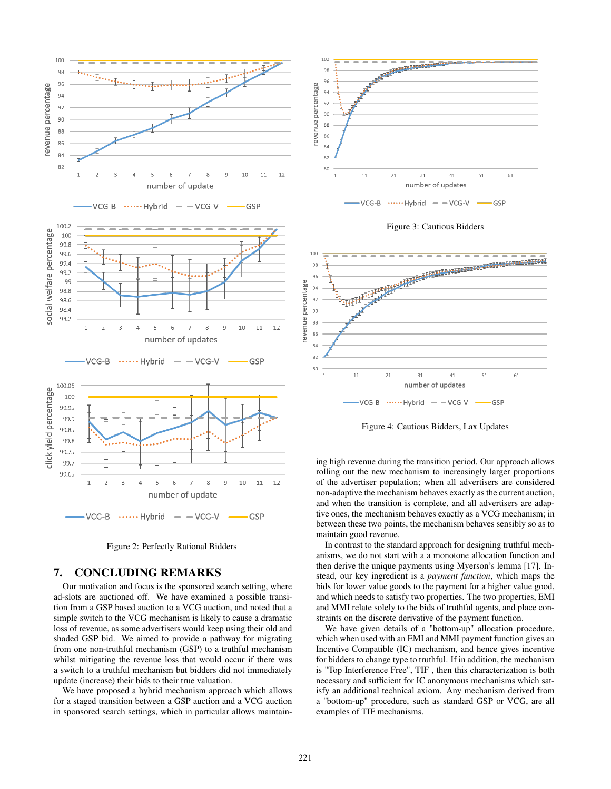



### 7. CONCLUDING REMARKS

Our motivation and focus is the sponsored search setting, where ad-slots are auctioned off. We have examined a possible transition from a GSP based auction to a VCG auction, and noted that a simple switch to the VCG mechanism is likely to cause a dramatic loss of revenue, as some advertisers would keep using their old and shaded GSP bid. We aimed to provide a pathway for migrating from one non-truthful mechanism (GSP) to a truthful mechanism whilst mitigating the revenue loss that would occur if there was a switch to a truthful mechanism but bidders did not immediately update (increase) their bids to their true valuation.

We have proposed a hybrid mechanism approach which allows for a staged transition between a GSP auction and a VCG auction in sponsored search settings, which in particular allows maintain-



Figure 3: Cautious Bidders



Figure 4: Cautious Bidders, Lax Updates

ing high revenue during the transition period. Our approach allows rolling out the new mechanism to increasingly larger proportions of the advertiser population; when all advertisers are considered non-adaptive the mechanism behaves exactly as the current auction, and when the transition is complete, and all advertisers are adaptive ones, the mechanism behaves exactly as a VCG mechanism; in between these two points, the mechanism behaves sensibly so as to maintain good revenue.

In contrast to the standard approach for designing truthful mechanisms, we do not start with a a monotone allocation function and then derive the unique payments using Myerson's lemma [17]. Instead, our key ingredient is a *payment function*, which maps the bids for lower value goods to the payment for a higher value good, and which needs to satisfy two properties. The two properties, EMI and MMI relate solely to the bids of truthful agents, and place constraints on the discrete derivative of the payment function.

We have given details of a "bottom-up" allocation procedure, which when used with an EMI and MMI payment function gives an Incentive Compatible (IC) mechanism, and hence gives incentive for bidders to change type to truthful. If in addition, the mechanism is "Top Interference Free", TIF , then this characterization is both necessary and sufficient for IC anonymous mechanisms which satisfy an additional technical axiom. Any mechanism derived from a "bottom-up" procedure, such as standard GSP or VCG, are all examples of TIF mechanisms.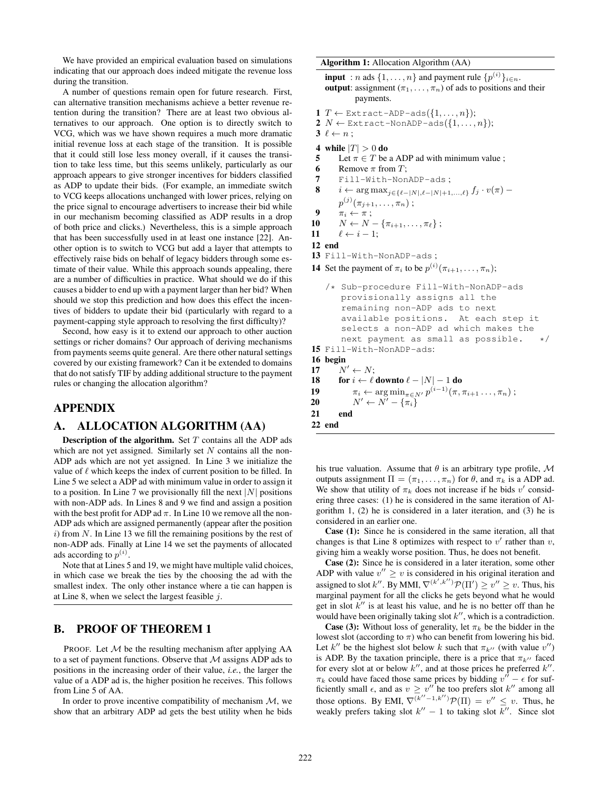We have provided an empirical evaluation based on simulations indicating that our approach does indeed mitigate the revenue loss during the transition.

A number of questions remain open for future research. First, can alternative transition mechanisms achieve a better revenue retention during the transition? There are at least two obvious alternatives to our approach. One option is to directly switch to VCG, which was we have shown requires a much more dramatic initial revenue loss at each stage of the transition. It is possible that it could still lose less money overall, if it causes the transition to take less time, but this seems unlikely, particularly as our approach appears to give stronger incentives for bidders classified as ADP to update their bids. (For example, an immediate switch to VCG keeps allocations unchanged with lower prices, relying on the price signal to encourage advertisers to increase their bid while in our mechanism becoming classified as ADP results in a drop of both price and clicks.) Nevertheless, this is a simple approach that has been successfully used in at least one instance [22]. Another option is to switch to VCG but add a layer that attempts to effectively raise bids on behalf of legacy bidders through some estimate of their value. While this approach sounds appealing, there are a number of difficulties in practice. What should we do if this causes a bidder to end up with a payment larger than her bid? When should we stop this prediction and how does this effect the incentives of bidders to update their bid (particularly with regard to a payment-capping style approach to resolving the first difficulty)?

Second, how easy is it to extend our approach to other auction settings or richer domains? Our approach of deriving mechanisms from payments seems quite general. Are there other natural settings covered by our existing framework? Can it be extended to domains that do not satisfy TIF by adding additional structure to the payment rules or changing the allocation algorithm?

#### APPENDIX

# A. ALLOCATION ALGORITHM (AA)

**Description of the algorithm.** Set  $T$  contains all the ADP ads which are not yet assigned. Similarly set  $N$  contains all the non-ADP ads which are not yet assigned. In Line 3 we initialize the value of  $\ell$  which keeps the index of current position to be filled. In Line 5 we select a ADP ad with minimum value in order to assign it to a position. In Line 7 we provisionally fill the next  $|N|$  positions with non-ADP ads. In Lines 8 and 9 we find and assign a position with the best profit for ADP ad  $\pi$ . In Line 10 we remove all the non-ADP ads which are assigned permanently (appear after the position  $i)$  from N. In Line 13 we fill the remaining positions by the rest of non-ADP ads. Finally at Line 14 we set the payments of allocated ads according to  $p^{(i)}$ .

Note that at Lines 5 and 19, we might have multiple valid choices, in which case we break the ties by the choosing the ad with the smallest index. The only other instance where a tie can happen is at Line 8, when we select the largest feasible  $j$ .

#### B. PROOF OF THEOREM 1

PROOF. Let  $M$  be the resulting mechanism after applying AA to a set of payment functions. Observe that  $M$  assigns ADP ads to positions in the increasing order of their value, *i.e.*, the larger the value of a ADP ad is, the higher position he receives. This follows from Line 5 of AA.

In order to prove incentive compatibility of mechanism  $M$ , we show that an arbitrary ADP ad gets the best utility when he bids

Algorithm 1: Allocation Algorithm (AA)

**input** : *n* ads  $\{1, \ldots, n\}$  and payment rule  $\{p^{(i)}\}_{i \in n}$ . output: assignment  $(\pi_1, \ldots, \pi_n)$  of ads to positions and their payments.

- 1 T  $\leftarrow$  Extract-ADP-ads({ $1, ..., n$ });
- 2  $N \leftarrow$  Extract-NonADP-ads({ $1, ..., n$ });
- $3 \ell \leftarrow n$ :
- 4 while  $|T| > 0$  do
- 5 Let  $\pi \in T$  be a ADP ad with minimum value ;
- 6 Remove  $\pi$  from T;
- 7 Fill-With-NonADP-ads ;

8 
$$
i \leftarrow \arg \max_{j \in \{\ell - |N|, \ell - |N| + 1, \ldots, \ell\}} f_j \cdot v(\pi) -
$$

 $p^{(j)}(\pi_{j+1}, \ldots, \pi_n)$  ;

```
9 \pi_i \leftarrow \pi;
```

$$
10 \qquad N \leftarrow N - \{\pi_{i+1}, \ldots, \pi_\ell\} ;
$$

11  $\ell \leftarrow i - 1$ ;

```
12 end
```

```
13 Fill-With-NonADP-ads ;
```
**14** Set the payment of  $\pi_i$  to be  $p^{(i)}(\pi_{i+1}, \ldots, \pi_n);$ 

```
/* Sub-procedure Fill-With-NonADP-ads
      provisionally assigns all the
      remaining non-ADP ads to next
      available positions. At each step it
      selects a non-ADP ad which makes the
      next payment as small as possible. */15 Fill-With-NonADP-ads:
16 begin
17 N' \leftarrow N;18 for i \leftarrow \ell downto \ell - |N| - 1 do
19 \pi_i \leftarrow \arg \min_{\pi \in N'} p^{(i-1)}(\pi, \pi_{i+1} \dots, \pi_n);20 N' \leftarrow N' - {\overline{n_i}}
```

```
21 end
```

```
22 end
```
his true valuation. Assume that  $\theta$  is an arbitrary type profile, M outputs assignment  $\Pi = (\pi_1, \dots, \pi_n)$  for  $\theta$ , and  $\pi_k$  is a ADP ad. We show that utility of  $\pi_k$  does not increase if he bids v' considering three cases: (1) he is considered in the same iteration of Algorithm 1, (2) he is considered in a later iteration, and (3) he is considered in an earlier one.

Case (1): Since he is considered in the same iteration, all that changes is that Line 8 optimizes with respect to  $v'$  rather than  $v$ , giving him a weakly worse position. Thus, he does not benefit.

Case (2): Since he is considered in a later iteration, some other ADP with value  $v'' \geq v$  is considered in his original iteration and assigned to slot k''. By MMI,  $\nabla^{(k',k'')}\mathcal{P}(\Pi') \ge v'' \ge v$ . Thus, his marginal payment for all the clicks he gets beyond what he would get in slot  $k''$  is at least his value, and he is no better off than he would have been originally taking slot  $k''$ , which is a contradiction.

**Case (3):** Without loss of generality, let  $\pi_k$  be the bidder in the lowest slot (according to  $\pi$ ) who can benefit from lowering his bid. Let  $k''$  be the highest slot below k such that  $\pi_{k''}$  (with value  $v''$ ) is ADP. By the taxation principle, there is a price that  $\pi_{k}$ <sup>1</sup> faced for every slot at or below  $k''$ , and at those prices he preferred  $k''$ .  $\pi_k$  could have faced those same prices by bidding  $v'' - \epsilon$  for sufficiently small  $\epsilon$ , and as  $v \ge v''$  he too prefers slot k'' among all those options. By EMI,  $\nabla^{(k''-1,k'')}\mathcal{P}(\Pi) = v'' \leq v$ . Thus, he weakly prefers taking slot  $k'' - 1$  to taking slot  $k''$ . Since slot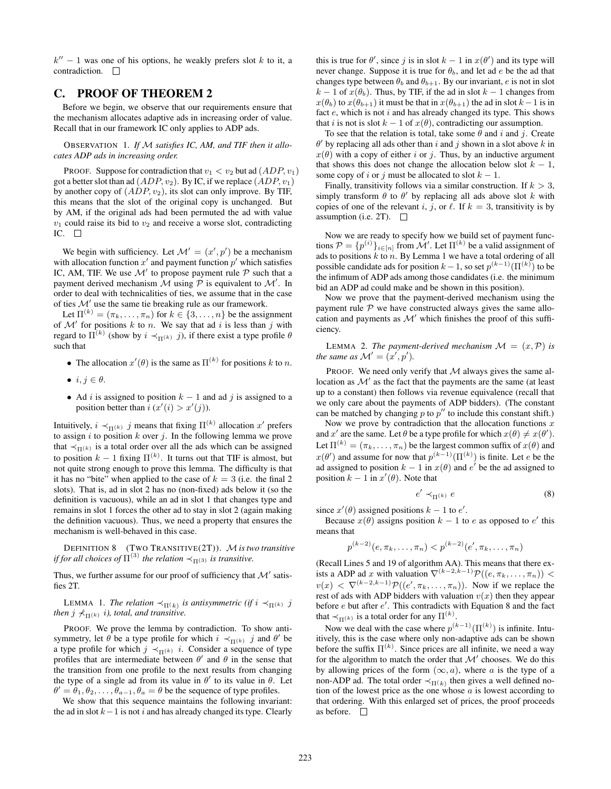$k'' - 1$  was one of his options, he weakly prefers slot k to it, a contradiction.  $\square$ 

# C. PROOF OF THEOREM 2

Before we begin, we observe that our requirements ensure that the mechanism allocates adaptive ads in increasing order of value. Recall that in our framework IC only applies to ADP ads.

OBSERVATION 1. *If* M *satisfies IC, AM, and TIF then it allocates ADP ads in increasing order.*

PROOF. Suppose for contradiction that  $v_1 < v_2$  but ad  $(ADP, v_1)$ got a better slot than ad  $(ADP, v_2)$ . By IC, if we replace  $(ADP, v_1)$ by another copy of  $(ADP, v_2)$ , its slot can only improve. By TIF, this means that the slot of the original copy is unchanged. But by AM, if the original ads had been permuted the ad with value  $v_1$  could raise its bid to  $v_2$  and receive a worse slot, contradicting IC.  $\square$ 

We begin with sufficiency. Let  $\mathcal{M}' = (x', p')$  be a mechanism with allocation function  $x'$  and payment function  $p'$  which satisfies IC, AM, TIF. We use  $\mathcal{M}'$  to propose payment rule  $\mathcal P$  such that a payment derived mechanism  $\mathcal M$  using  $\mathcal P$  is equivalent to  $\mathcal M'$ . In order to deal with technicalities of ties, we assume that in the case of ties  $\mathcal{M}'$  use the same tie breaking rule as our framework.

Let  $\Pi^{(k)} = (\pi_k, \dots, \pi_n)$  for  $k \in \{3, \dots, n\}$  be the assignment of  $\mathcal{M}'$  for positions k to n. We say that ad i is less than j with regard to  $\Pi^{(k)}$  (show by  $i \prec_{\Pi^{(k)}} j$ ), if there exist a type profile  $\theta$ such that

- The allocation  $x'(\theta)$  is the same as  $\Pi^{(k)}$  for positions k to n.
- $i, j \in \theta$ .
- Ad i is assigned to position  $k 1$  and ad j is assigned to a position better than  $i(x'(i) > x'(j))$ .

Intuitively,  $i \prec_{\Pi^{(k)}} j$  means that fixing  $\Pi^{(k)}$  allocation  $x'$  prefers to assign i to position k over j. In the following lemma we prove that  $\prec_{\Pi(k)}$  is a total order over all the ads which can be assigned to position  $k-1$  fixing  $\Pi^{(k)}$ . It turns out that TIF is almost, but not quite strong enough to prove this lemma. The difficulty is that it has no "bite" when applied to the case of  $k = 3$  (i.e. the final 2 slots). That is, ad in slot 2 has no (non-fixed) ads below it (so the definition is vacuous), while an ad in slot 1 that changes type and remains in slot 1 forces the other ad to stay in slot 2 (again making the definition vacuous). Thus, we need a property that ensures the mechanism is well-behaved in this case.

DEFINITION 8 (TWO TRANSITIVE(2T)). M*is two transitive if for all choices of*  $\Pi^{(3)}$  *the relation*  $\prec_{\Pi^{(3)}}$  *is transitive.* 

Thus, we further assume for our proof of sufficiency that  $\mathcal{M}'$  satisfies 2T.

LEMMA 1. *The relation*  $\prec_{\Pi(k)}$  *is antisymmetric (if i*  $\prec_{\Pi(k)}$  *j then*  $j \nless \pi(k)$  *i*)*, total, and transitive.* 

PROOF. We prove the lemma by contradiction. To show antisymmetry, let  $\theta$  be a type profile for which  $i \prec_{\Pi^{(k)}} j$  and  $\theta'$  be a type profile for which  $j \prec_{\Pi^{(k)}} i$ . Consider a sequence of type profiles that are intermediate between  $\theta'$  and  $\theta$  in the sense that the transition from one profile to the next results from changing the type of a single ad from its value in  $\theta'$  to its value in  $\theta$ . Let  $\theta' = \theta_1, \theta_2, \dots, \theta_{a-1}, \theta_a = \theta$  be the sequence of type profiles.

We show that this sequence maintains the following invariant: the ad in slot  $k-1$  is not i and has already changed its type. Clearly

this is true for  $\theta'$ , since j is in slot  $k - 1$  in  $x(\theta')$  and its type will never change. Suppose it is true for  $\theta_b$ , and let ad e be the ad that changes type between  $\theta_b$  and  $\theta_{b+1}$ . By our invariant, e is not in slot  $k - 1$  of  $x(\theta_b)$ . Thus, by TIF, if the ad in slot  $k - 1$  changes from  $x(\theta_b)$  to  $x(\theta_{b+1})$  it must be that in  $x(\theta_{b+1})$  the ad in slot  $k-1$  is in fact  $e$ , which is not  $i$  and has already changed its type. This shows that i is not is slot  $k - 1$  of  $x(\theta)$ , contradicting our assumption.

To see that the relation is total, take some  $\theta$  and i and j. Create  $\theta'$  by replacing all ads other than i and j shown in a slot above k in  $x(\theta)$  with a copy of either i or j. Thus, by an inductive argument that shows this does not change the allocation below slot  $k - 1$ , some copy of i or j must be allocated to slot  $k - 1$ .

Finally, transitivity follows via a similar construction. If  $k > 3$ , simply transform  $\theta$  to  $\theta'$  by replacing all ads above slot k with copies of one of the relevant i, j, or  $\ell$ . If  $k = 3$ , transitivity is by assumption (i.e. 2T).  $\Box$ 

Now we are ready to specify how we build set of payment functions  $P = \{p^{(i)}\}_{i \in [n]}$  from M'. Let  $\Pi^{(k)}$  be a valid assignment of ads to positions  $k$  to  $n$ . By Lemma 1 we have a total ordering of all possible candidate ads for position  $k-1$ , so set  $p^{(k-1)}(\Pi^{(k)})$  to be the infimum of ADP ads among those candidates (i.e. the minimum bid an ADP ad could make and be shown in this position).

Now we prove that the payment-derived mechanism using the payment rule  $P$  we have constructed always gives the same allocation and payments as  $\mathcal{M}'$  which finishes the proof of this sufficiency.

LEMMA 2. *The payment-derived mechanism*  $\mathcal{M} = (x, \mathcal{P})$  *is the same as*  $\mathcal{M}' = (x', p').$ 

PROOF. We need only verify that  $M$  always gives the same allocation as  $\mathcal{M}'$  as the fact that the payments are the same (at least up to a constant) then follows via revenue equivalence (recall that we only care about the payments of ADP bidders). (The constant can be matched by changing  $p$  to  $p''$  to include this constant shift.)

Now we prove by contradiction that the allocation functions  $x$ and x' are the same. Let  $\theta$  be a type profile for which  $x(\theta) \neq x(\theta')$ . Let  $\Pi^{(k)} = (\pi_k, \dots, \pi_n)$  be the largest common suffix of  $x(\theta)$  and  $x(\theta')$  and assume for now that  $p^{(k-1)}(\Pi^{(k)})$  is finite. Let e be the ad assigned to position  $k - 1$  in  $x(\theta)$  and  $e'$  be the ad assigned to position  $k - 1$  in  $x'(\theta)$ . Note that

$$
e' \prec_{\Pi^{(k)}} e \tag{8}
$$

since  $x'(\theta)$  assigned positions  $k - 1$  to  $e'$ .

Because  $x(\theta)$  assigns position  $k-1$  to e as opposed to e' this means that

$$
p^{(k-2)}(e, \pi_k, \ldots, \pi_n) < p^{(k-2)}(e', \pi_k, \ldots, \pi_n)
$$

(Recall Lines 5 and 19 of algorithm AA). This means that there exists a ADP ad x with valuation  $\nabla^{(k-2,k-1)}\mathcal{P}((e, \pi_k, \dots, \pi_n))$  <  $v(x) < \nabla^{(k-2,k-1)} \mathcal{P}((e', \pi_k, \dots, \pi_n)).$  Now if we replace the rest of ads with ADP bidders with valuation  $v(x)$  then they appear before  $e$  but after  $e'$ . This contradicts with Equation 8 and the fact that  $\prec_{\Pi^{(k)}}$  is a total order for any  $\Pi^{(k)}$ .

Now we deal with the case where  $p^{(k-1)}(\Pi^{(k)})$  is infinite. Intuitively, this is the case where only non-adaptive ads can be shown before the suffix  $\Pi^{(k)}$ . Since prices are all infinite, we need a way for the algorithm to match the order that  $\mathcal{M}'$  chooses. We do this by allowing prices of the form  $(\infty, a)$ , where a is the type of a non-ADP ad. The total order  $\prec_{\Pi(k)}$  then gives a well defined notion of the lowest price as the one whose  $a$  is lowest according to that ordering. With this enlarged set of prices, the proof proceeds as before.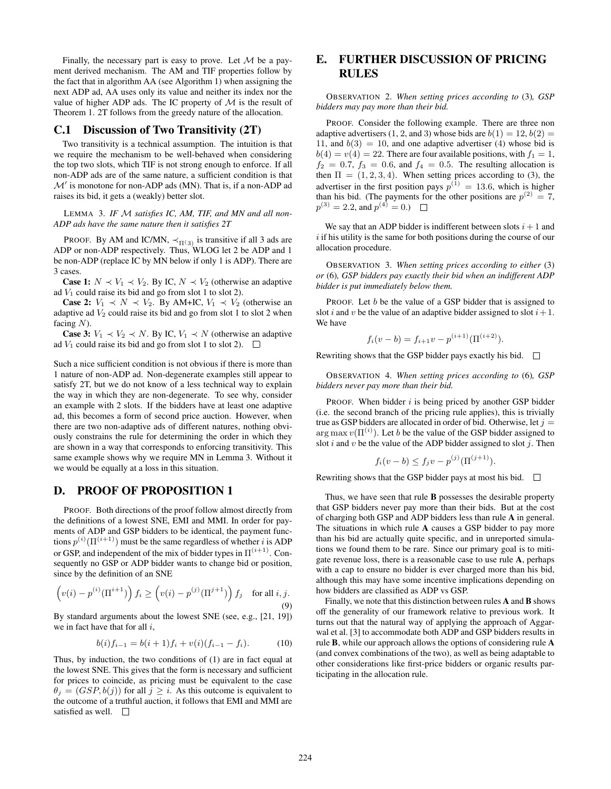Finally, the necessary part is easy to prove. Let  $M$  be a payment derived mechanism. The AM and TIF properties follow by the fact that in algorithm AA (see Algorithm 1) when assigning the next ADP ad, AA uses only its value and neither its index nor the value of higher ADP ads. The IC property of  $M$  is the result of Theorem 1. 2T follows from the greedy nature of the allocation.

#### C.1 Discussion of Two Transitivity (2T)

Two transitivity is a technical assumption. The intuition is that we require the mechanism to be well-behaved when considering the top two slots, which TIF is not strong enough to enforce. If all non-ADP ads are of the same nature, a sufficient condition is that  $\mathcal{M}'$  is monotone for non-ADP ads (MN). That is, if a non-ADP ad raises its bid, it gets a (weakly) better slot.

LEMMA 3. *IF* M *satisfies IC, AM, TIF, and MN and all non-ADP ads have the same nature then it satisfies 2T*

PROOF. By AM and IC/MN,  $\prec_{\Pi(3)}$  is transitive if all 3 ads are ADP or non-ADP respectively. Thus, WLOG let 2 be ADP and 1 be non-ADP (replace IC by MN below if only 1 is ADP). There are 3 cases.

**Case 1:**  $N \prec V_1 \prec V_2$ . By IC,  $N \prec V_2$  (otherwise an adaptive ad  $V_1$  could raise its bid and go from slot 1 to slot 2).

**Case 2:**  $V_1 \prec N \prec V_2$ . By AM+IC,  $V_1 \prec V_2$  (otherwise an adaptive ad  $V_2$  could raise its bid and go from slot 1 to slot 2 when facing  $N$ ).

**Case 3:**  $V_1 \prec V_2 \prec N$ . By IC,  $V_1 \prec N$  (otherwise an adaptive ad  $V_1$  could raise its bid and go from slot 1 to slot 2).  $\Box$ 

Such a nice sufficient condition is not obvious if there is more than 1 nature of non-ADP ad. Non-degenerate examples still appear to satisfy 2T, but we do not know of a less technical way to explain the way in which they are non-degenerate. To see why, consider an example with 2 slots. If the bidders have at least one adaptive ad, this becomes a form of second price auction. However, when there are two non-adaptive ads of different natures, nothing obviously constrains the rule for determining the order in which they are shown in a way that corresponds to enforcing transitivity. This same example shows why we require MN in Lemma 3. Without it we would be equally at a loss in this situation.

## D. PROOF OF PROPOSITION 1

PROOF. Both directions of the proof follow almost directly from the definitions of a lowest SNE, EMI and MMI. In order for payments of ADP and GSP bidders to be identical, the payment functions  $p^{(i)}(\Pi^{(i+1)})$  must be the same regardless of whether i is ADP or GSP, and independent of the mix of bidder types in  $\Pi^{(i+1)}$ . Consequently no GSP or ADP bidder wants to change bid or position, since by the definition of an SNE

$$
\left(v(i) - p^{(i)}(\Pi^{i+1})\right) f_i \ge \left(v(i) - p^{(j)}(\Pi^{j+1})\right) f_j \quad \text{for all } i, j.
$$
\n(9)

By standard arguments about the lowest SNE (see, e.g., [21, 19]) we in fact have that for all  $i$ .

$$
b(i)f_{i-1} = b(i+1)f_i + v(i)(f_{i-1} - f_i).
$$
 (10)

Thus, by induction, the two conditions of (1) are in fact equal at the lowest SNE. This gives that the form is necessary and sufficient for prices to coincide, as pricing must be equivalent to the case  $\theta_j = (GSP, b(j))$  for all  $j \geq i$ . As this outcome is equivalent to the outcome of a truthful auction, it follows that EMI and MMI are satisfied as well.  $\square$ 

# E. FURTHER DISCUSSION OF PRICING RULES

OBSERVATION 2. *When setting prices according to* (3)*, GSP bidders may pay more than their bid.*

PROOF. Consider the following example. There are three non adaptive advertisers (1, 2, and 3) whose bids are  $b(1) = 12, b(2) =$ 11, and  $b(3) = 10$ , and one adaptive advertiser (4) whose bid is  $b(4) = v(4) = 22$ . There are four available positions, with  $f_1 = 1$ ,  $f_2 = 0.7$ ,  $f_3 = 0.6$ , and  $f_4 = 0.5$ . The resulting allocation is then  $\Pi = (1, 2, 3, 4)$ . When setting prices according to (3), the advertiser in the first position pays  $p^{(1)} = 13.6$ , which is higher than his bid. (The payments for the other positions are  $p^{(2)} = 7$ ,  $p^{(3)} = 2.2$ , and  $p^{(4)} = 0$ .)

We say that an ADP bidder is indifferent between slots  $i + 1$  and  $i$  if his utility is the same for both positions during the course of our allocation procedure.

OBSERVATION 3. *When setting prices according to either* (3) *or* (6)*, GSP bidders pay exactly their bid when an indifferent ADP bidder is put immediately below them.*

PROOF. Let b be the value of a GSP bidder that is assigned to slot *i* and *v* be the value of an adaptive bidder assigned to slot  $i + 1$ . We have

$$
f_i(v - b) = f_{i+1}v - p^{(i+1)}(\Pi^{(i+2)}).
$$

Rewriting shows that the GSP bidder pays exactly his bid.

OBSERVATION 4. *When setting prices according to* (6)*, GSP bidders never pay more than their bid.*

PROOF. When bidder  $i$  is being priced by another GSP bidder (i.e. the second branch of the pricing rule applies), this is trivially true as GSP bidders are allocated in order of bid. Otherwise, let  $j =$  $\arg \max v(\Pi^{(i)})$ . Let b be the value of the GSP bidder assigned to slot i and v be the value of the ADP bidder assigned to slot j. Then

$$
f_i(v - b) \leq f_j v - p^{(j)}(\Pi^{(j+1)}).
$$

Rewriting shows that the GSP bidder pays at most his bid.  $\Box$ 

Thus, we have seen that rule B possesses the desirable property that GSP bidders never pay more than their bids. But at the cost of charging both GSP and ADP bidders less than rule A in general. The situations in which rule A causes a GSP bidder to pay more than his bid are actually quite specific, and in unreported simulations we found them to be rare. Since our primary goal is to mitigate revenue loss, there is a reasonable case to use rule A, perhaps with a cap to ensure no bidder is ever charged more than his bid, although this may have some incentive implications depending on how bidders are classified as ADP vs GSP.

Finally, we note that this distinction between rules A and B shows off the generality of our framework relative to previous work. It turns out that the natural way of applying the approach of Aggarwal et al. [3] to accommodate both ADP and GSP bidders results in rule B, while our approach allows the options of considering rule A (and convex combinations of the two), as well as being adaptable to other considerations like first-price bidders or organic results participating in the allocation rule.